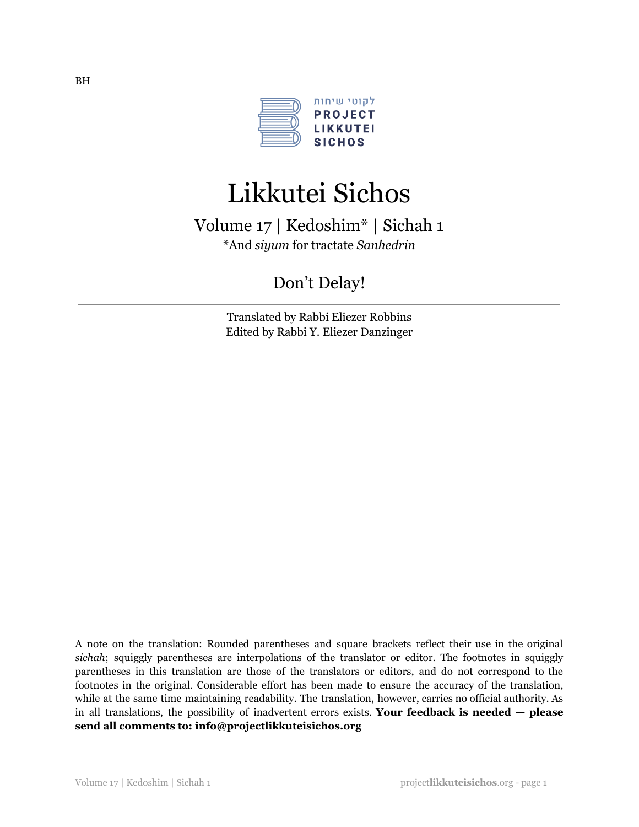

# Likkutei Sichos

Volume 17 | Kedoshim\* | Sichah 1 \*And *siyum* for tractate *Sanhedrin*

Don't Delay!

Translated by Rabbi Eliezer Robbins Edited by Rabbi Y. Eliezer Danzinger

A note on the translation: Rounded parentheses and square brackets reflect their use in the original *sichah*; squiggly parentheses are interpolations of the translator or editor. The footnotes in squiggly parentheses in this translation are those of the translators or editors, and do not correspond to the footnotes in the original. Considerable effort has been made to ensure the accuracy of the translation, while at the same time maintaining readability. The translation, however, carries no official authority. As in all translations, the possibility of inadvertent errors exists. **Your feedback is needed — please send all comments to: info@projectlikkuteisichos.org**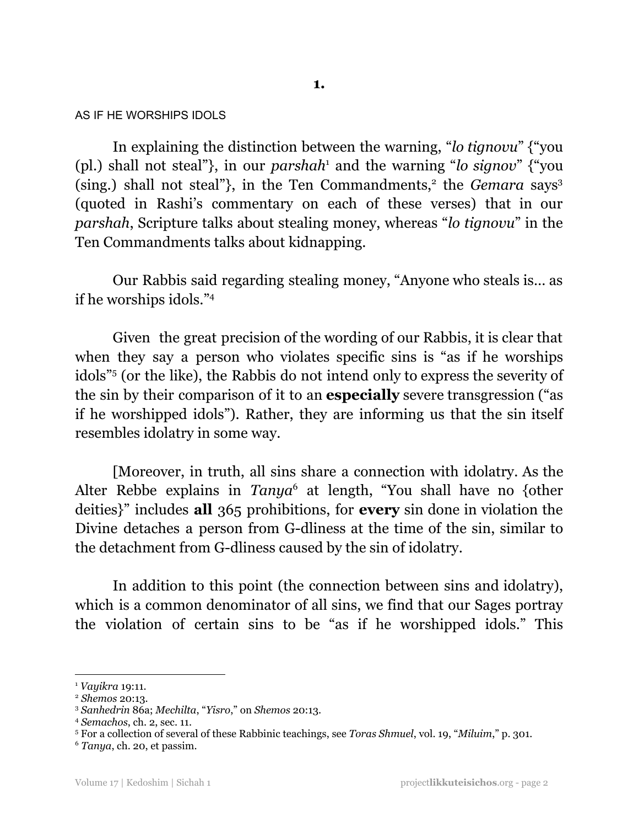AS IF HE WORSHIPS IDOLS

In explaining the distinction between the warning, "*lo tignovu*" {"you (pl.) shall not steal"}, in our *parshah* <sup>1</sup> and the warning "*lo signov*" {"you (sing.) shall not steal"}, in the Ten Commandments,<sup>2</sup> the *Gemara* says<sup>3</sup> (quoted in Rashi's commentary on each of these verses) that in our *parshah*, Scripture talks about stealing money, whereas "*lo tignovu*" in the Ten Commandments talks about kidnapping.

Our Rabbis said regarding stealing money, "Anyone who steals is… as if he worships idols." 4

Given the great precision of the wording of our Rabbis, it is clear that when they say a person who violates specific sins is "as if he worships" idols" <sup>5</sup> (or the like), the Rabbis do not intend only to express the severity of the sin by their comparison of it to an **especially** severe transgression ("as if he worshipped idols"). Rather, they are informing us that the sin itself resembles idolatry in some way.

[Moreover, in truth, all sins share a connection with idolatry. As the Alter Rebbe explains in *Tanya* <sup>6</sup> at length, "You shall have no {other deities}" includes **all** 365 prohibitions, for **every** sin done in violation the Divine detaches a person from G-dliness at the time of the sin, similar to the detachment from G-dliness caused by the sin of idolatry.

In addition to this point (the connection between sins and idolatry), which is a common denominator of all sins, we find that our Sages portray the violation of certain sins to be "as if he worshipped idols." This

<sup>1</sup> *Vayikra* 19:11.

<sup>2</sup> *Shemos* 20:13.

<sup>3</sup> *Sanhedrin* 86a; *Mechilta*, "*Yisro*," on *Shemos* 20:13.

<sup>4</sup> *Semachos*, ch. 2, sec. 11.

<sup>5</sup> For a collection of several of these Rabbinic teachings, see *Toras Shmuel*, vol. 19, "*Miluim*," p. 301.

<sup>6</sup> *Tanya*, ch. 20, et passim.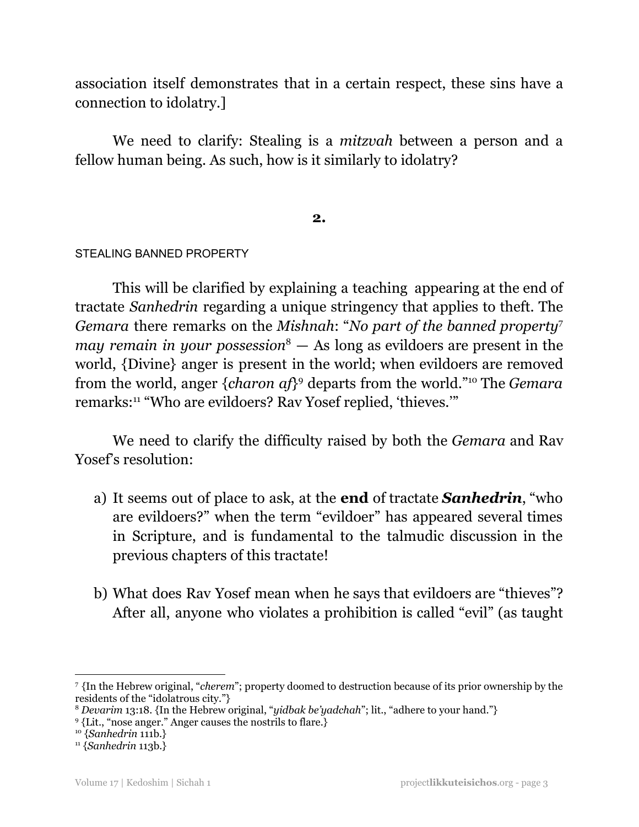association itself demonstrates that in a certain respect, these sins have a connection to idolatry.]

We need to clarify: Stealing is a *mitzvah* between a person and a fellow human being. As such, how is it similarly to idolatry?

# **2.**

# STEALING BANNED PROPERTY

This will be clarified by explaining a teaching appearing at the end of tractate *Sanhedrin* regarding a unique stringency that applies to theft. The *Gemara* there remarks on the *Mishnah*: "*No part of the banned property* 7 *may remain in your possession* <sup>8</sup> — As long as evildoers are present in the world, {Divine} anger is present in the world; when evildoers are removed from the world, anger {*charon af*} <sup>9</sup> departs from the world." <sup>10</sup> The *Gemara* remarks: <sup>11</sup> "Who are evildoers? Rav Yosef replied, 'thieves.'"

We need to clarify the difficulty raised by both the *Gemara* and Rav Yosef's resolution:

- a) It seems out of place to ask, at the **end** of tractate *Sanhedrin*, "who are evildoers?" when the term "evildoer" has appeared several times in Scripture, and is fundamental to the talmudic discussion in the previous chapters of this tractate!
- b) What does Rav Yosef mean when he says that evildoers are "thieves"? After all, anyone who violates a prohibition is called "evil" (as taught

<sup>7</sup> {In the Hebrew original, "*cherem*"; property doomed to destruction because of its prior ownership by the residents of the "idolatrous city."}

<sup>8</sup> *Devarim* 13:18. {In the Hebrew original, "*yidbak be'yadchah*"; lit., "adhere to your hand."}

<sup>9</sup> {Lit., "nose anger." Anger causes the nostrils to flare.}

<sup>10</sup> {*Sanhedrin* 111b.}

<sup>11</sup> {*Sanhedrin* 113b.}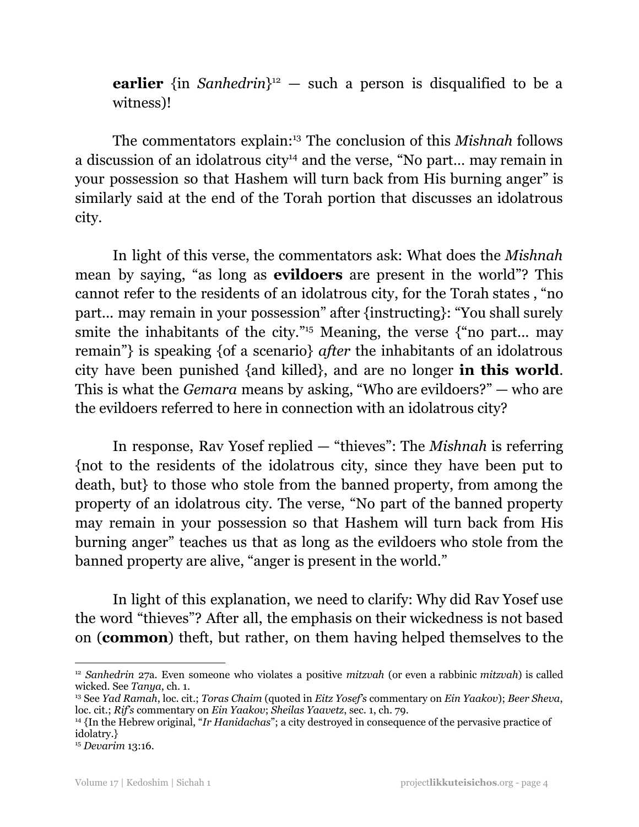**earlier** {in *Sanhedrin*}<sup>12</sup> — such a person is disqualified to be a witness)!

The commentators explain: <sup>13</sup> The conclusion of this *Mishnah* follows a discussion of an idolatrous city<sup>14</sup> and the verse, "No part... may remain in your possession so that Hashem will turn back from His burning anger" is similarly said at the end of the Torah portion that discusses an idolatrous city.

In light of this verse, the commentators ask: What does the *Mishnah* mean by saying, "as long as **evildoers** are present in the world"? This cannot refer to the residents of an idolatrous city, for the Torah states , "no part... may remain in your possession" after {instructing}: "You shall surely smite the inhabitants of the city." <sup>15</sup> Meaning, the verse {"no part... may remain"} is speaking {of a scenario} *after* the inhabitants of an idolatrous city have been punished {and killed}, and are no longer **in this world**. This is what the *Gemara* means by asking, "Who are evildoers?" — who are the evildoers referred to here in connection with an idolatrous city?

In response, Rav Yosef replied — "thieves": The *Mishnah* is referring {not to the residents of the idolatrous city, since they have been put to death, but} to those who stole from the banned property, from among the property of an idolatrous city. The verse, "No part of the banned property may remain in your possession so that Hashem will turn back from His burning anger" teaches us that as long as the evildoers who stole from the banned property are alive, "anger is present in the world."

In light of this explanation, we need to clarify: Why did Rav Yosef use the word "thieves"? After all, the emphasis on their wickedness is not based on (**common**) theft, but rather, on them having helped themselves to the

<sup>12</sup> *Sanhedrin* 27a. Even someone who violates a positive *mitzvah* (or even a rabbinic *mitzvah*) is called wicked. See *Tanya*, ch. 1.

<sup>13</sup> See *Yad Ramah*, loc. cit.; *Toras Chaim* (quoted in *Eitz Yosef's* commentary on *Ein Yaakov*); *Beer Sheva*, loc. cit.; *Rif's* commentary on *Ein Yaakov*; *Sheilas Yaavetz*, sec. 1, ch. 79.

<sup>14</sup> {In the Hebrew original, "*Ir Hanidachas*"; a city destroyed in consequence of the pervasive practice of idolatry.}

<sup>15</sup> *Devarim* 13:16.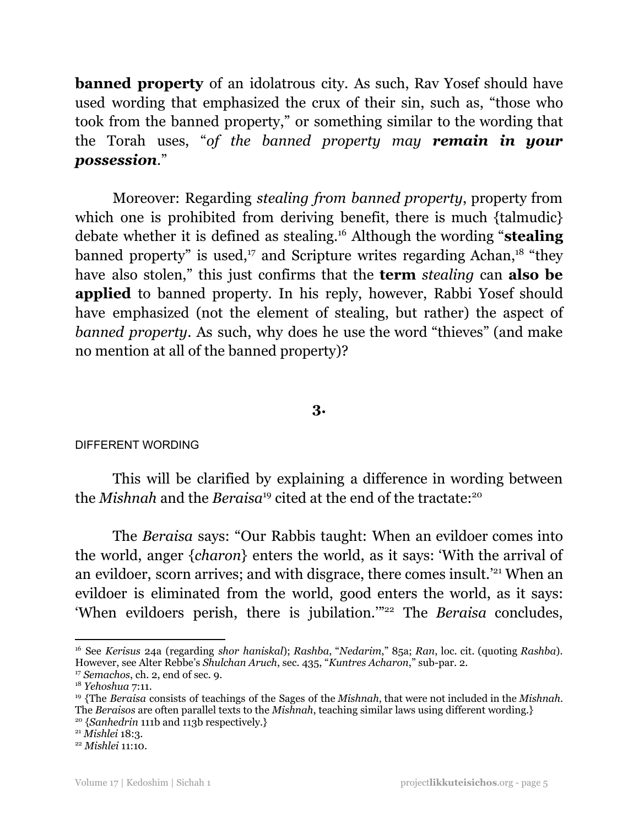**banned property** of an idolatrous city. As such, Rav Yosef should have used wording that emphasized the crux of their sin, such as, "those who took from the banned property," or something similar to the wording that the Torah uses, "*of the banned property may remain in your possession*."

Moreover: Regarding *stealing from banned property*, property from which one is prohibited from deriving benefit, there is much {talmudic} debate whether it is defined as stealing. <sup>16</sup> Although the wording "**stealing** banned property" is used,<sup>17</sup> and Scripture writes regarding Achan,<sup>18</sup> "they have also stolen," this just confirms that the **term** *stealing* can **also be applied** to banned property. In his reply, however, Rabbi Yosef should have emphasized (not the element of stealing, but rather) the aspect of *banned property*. As such, why does he use the word "thieves" (and make no mention at all of the banned property)?

# **3.**

## DIFFERENT WORDING

This will be clarified by explaining a difference in wording between the *Mishnah* and the *Beraisa* <sup>19</sup> cited at the end of the tractate: 20

The *Beraisa* says: "Our Rabbis taught: When an evildoer comes into the world, anger {*charon*} enters the world, as it says: 'With the arrival of an evildoer, scorn arrives; and with disgrace, there comes insult.<sup>'21</sup> When an evildoer is eliminated from the world, good enters the world, as it says: 'When evildoers perish, there is jubilation.'" <sup>22</sup> The *Beraisa* concludes,

<sup>16</sup> See *Kerisus* 24a (regarding *shor haniskal*); *Rashba*, "*Nedarim*," 85a; *Ran*, loc. cit. (quoting *Rashba*). However, see Alter Rebbe's *Shulchan Aruch*, sec. 435, "*Kuntres Acharon*," sub-par. 2.

<sup>17</sup> *Semachos*, ch. 2, end of sec. 9.

<sup>18</sup> *Yehoshua* 7:11.

<sup>20</sup> {*Sanhedrin* 111b and 113b respectively.} <sup>19</sup> {The *Beraisa* consists of teachings of the Sages of the *Mishnah*, that were not included in the *Mishnah*. The *Beraisos* are often parallel texts to the *Mishnah*, teaching similar laws using different wording.}

<sup>21</sup> *Mishlei* 18:3.

<sup>22</sup> *Mishlei* 11:10.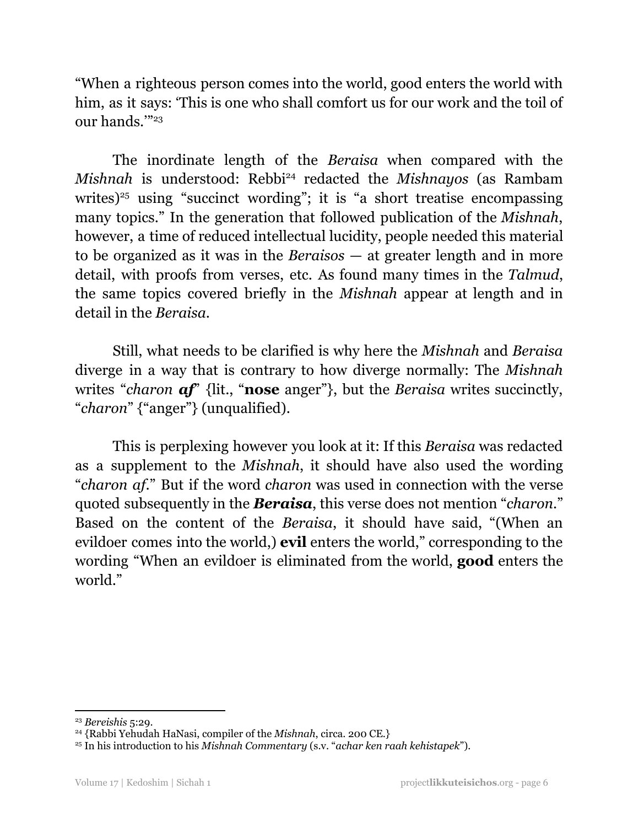"When a righteous person comes into the world, good enters the world with him, as it says: 'This is one who shall comfort us for our work and the toil of our hands.'" 23

The inordinate length of the *Beraisa* when compared with the *Mishnah* is understood: Rebbi <sup>24</sup> redacted the *Mishnayos* (as Rambam writes)<sup>25</sup> using "succinct wording"; it is "a short treatise encompassing many topics." In the generation that followed publication of the *Mishnah*, however, a time of reduced intellectual lucidity, people needed this material to be organized as it was in the *Beraisos* — at greater length and in more detail, with proofs from verses, etc. As found many times in the *Talmud*, the same topics covered briefly in the *Mishnah* appear at length and in detail in the *Beraisa*.

Still, what needs to be clarified is why here the *Mishnah* and *Beraisa* diverge in a way that is contrary to how diverge normally: The *Mishnah* writes "*charon af*" {lit., "**nose** anger"}, but the *Beraisa* writes succinctly, "*charon*" {"anger"} (unqualified).

This is perplexing however you look at it: If this *Beraisa* was redacted as a supplement to the *Mishnah*, it should have also used the wording "*charon af*." But if the word *charon* was used in connection with the verse quoted subsequently in the *Beraisa*, this verse does not mention "*charon*." Based on the content of the *Beraisa*, it should have said, "(When an evildoer comes into the world,) **evil** enters the world," corresponding to the wording "When an evildoer is eliminated from the world, **good** enters the world."

<sup>23</sup> *Bereishis* 5:29.

<sup>24</sup> {Rabbi Yehudah HaNasi, compiler of the *Mishnah*, circa. 200 CE.}

<sup>25</sup> In his introduction to his *Mishnah Commentary* (s.v. "*achar ken raah kehistapek*").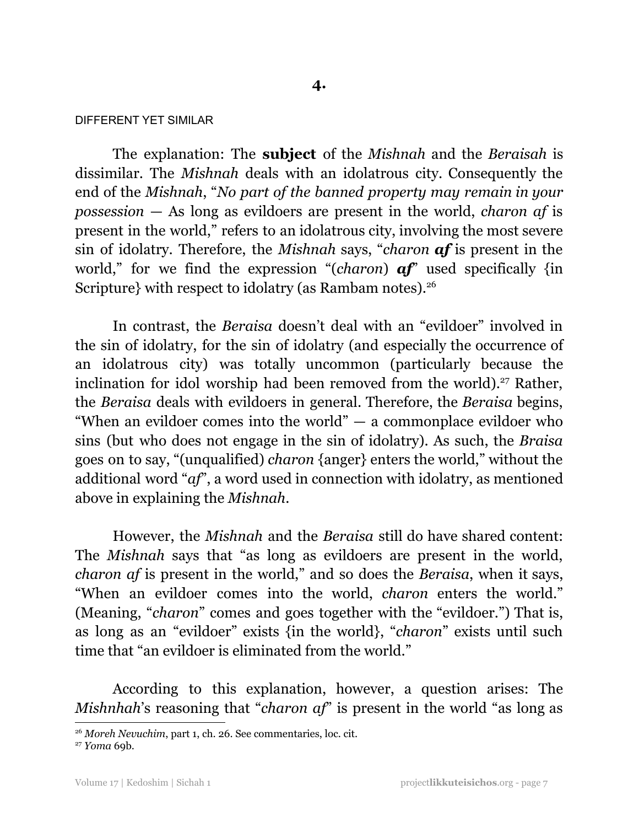## DIFFERENT YET SIMILAR

The explanation: The **subject** of the *Mishnah* and the *Beraisah* is dissimilar. The *Mishnah* deals with an idolatrous city. Consequently the end of the *Mishnah*, "*No part of the banned property may remain in your possession* — As long as evildoers are present in the world, *charon af* is present in the world," refers to an idolatrous city, involving the most severe sin of idolatry. Therefore, the *Mishnah* says, "*charon af* is present in the world," for we find the expression "(*charon*) **af**" used specifically {in Scripture} with respect to idolatry (as Rambam notes). 26

In contrast, the *Beraisa* doesn't deal with an "evildoer" involved in the sin of idolatry, for the sin of idolatry (and especially the occurrence of an idolatrous city) was totally uncommon (particularly because the inclination for idol worship had been removed from the world). <sup>27</sup> Rather, the *Beraisa* deals with evildoers in general. Therefore, the *Beraisa* begins, "When an evildoer comes into the world" — a commonplace evildoer who sins (but who does not engage in the sin of idolatry). As such, the *Braisa* goes on to say, "(unqualified) *charon* {anger} enters the world," without the additional word "*af*", a word used in connection with idolatry, as mentioned above in explaining the *Mishnah*.

However, the *Mishnah* and the *Beraisa* still do have shared content: The *Mishnah* says that "as long as evildoers are present in the world, *charon af* is present in the world," and so does the *Beraisa*, when it says, "When an evildoer comes into the world, *charon* enters the world." (Meaning, "*charon*" comes and goes together with the "evildoer.") That is, as long as an "evildoer" exists {in the world}, "*charon*" exists until such time that "an evildoer is eliminated from the world."

According to this explanation, however, a question arises: The *Mishnhah*'s reasoning that "*charon af*" is present in the world "as long as

<sup>26</sup> *Moreh Nevuchim*, part 1, ch. 26. See commentaries, loc. cit.

<sup>27</sup> *Yoma* 69b.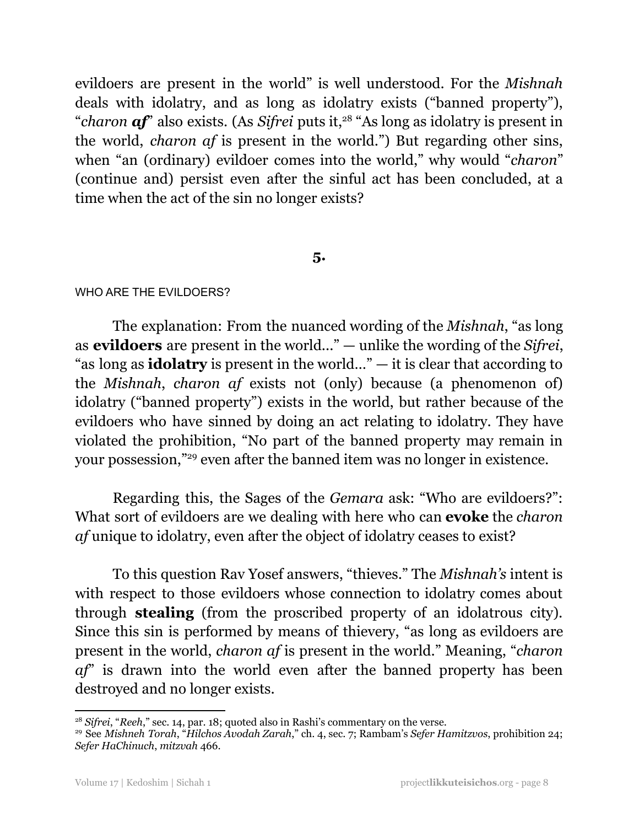evildoers are present in the world" is well understood. For the *Mishnah* deals with idolatry, and as long as idolatry exists ("banned property"), "*charon af*" also exists. (As *Sifrei* puts it, <sup>28</sup> "As long as idolatry is present in the world, *charon af* is present in the world.") But regarding other sins, when "an (ordinary) evildoer comes into the world," why would "*charon*" (continue and) persist even after the sinful act has been concluded, at a time when the act of the sin no longer exists?

# **5.**

## WHO ARE THE EVILDOERS?

The explanation: From the nuanced wording of the *Mishnah*, "as long as **evildoers** are present in the world..." — unlike the wording of the *Sifrei*, "as long as **idolatry** is present in the world…" — it is clear that according to the *Mishnah*, *charon af* exists not (only) because (a phenomenon of) idolatry ("banned property") exists in the world, but rather because of the evildoers who have sinned by doing an act relating to idolatry. They have violated the prohibition, "No part of the banned property may remain in your possession," <sup>29</sup> even after the banned item was no longer in existence.

Regarding this, the Sages of the *Gemara* ask: "Who are evildoers?": What sort of evildoers are we dealing with here who can **evoke** the *charon af* unique to idolatry, even after the object of idolatry ceases to exist?

To this question Rav Yosef answers, "thieves." The *Mishnah's* intent is with respect to those evildoers whose connection to idolatry comes about through **stealing** (from the proscribed property of an idolatrous city). Since this sin is performed by means of thievery, "as long as evildoers are present in the world, *charon af* is present in the world." Meaning, "*charon af*" is drawn into the world even after the banned property has been destroyed and no longer exists.

<sup>&</sup>lt;sup>28</sup> Sifrei, "Reeh," sec. 14, par. 18; quoted also in Rashi's commentary on the verse.

<sup>29</sup> See *Mishneh Torah*, "*Hilchos Avodah Zarah*," ch. 4, sec. 7; Rambam's *Sefer Hamitzvos*, prohibition 24; *Sefer HaChinuch*, *mitzvah* 466.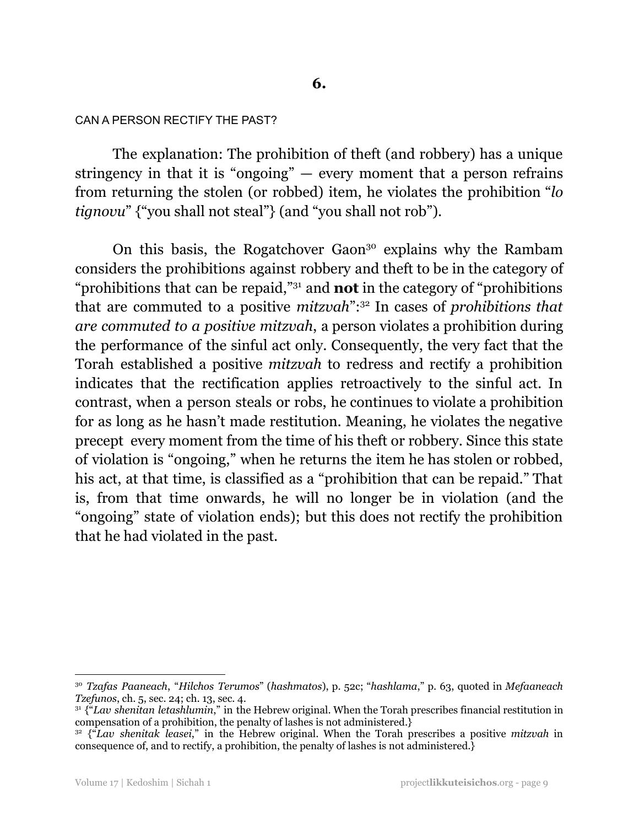# **6.**

#### CAN A PERSON RECTIFY THE PAST?

The explanation: The prohibition of theft (and robbery) has a unique stringency in that it is "ongoing"  $-$  every moment that a person refrains from returning the stolen (or robbed) item, he violates the prohibition "*lo tignovu*" {"you shall not steal"} (and "you shall not rob").

On this basis, the Rogatchover Gaon <sup>30</sup> explains why the Rambam considers the prohibitions against robbery and theft to be in the category of "prohibitions that can be repaid," <sup>31</sup> and **not** in the category of "prohibitions that are commuted to a positive *mitzvah*": <sup>32</sup> In cases of *prohibitions that are commuted to a positive mitzvah*, a person violates a prohibition during the performance of the sinful act only. Consequently, the very fact that the Torah established a positive *mitzvah* to redress and rectify a prohibition indicates that the rectification applies retroactively to the sinful act. In contrast, when a person steals or robs, he continues to violate a prohibition for as long as he hasn't made restitution. Meaning, he violates the negative precept every moment from the time of his theft or robbery. Since this state of violation is "ongoing," when he returns the item he has stolen or robbed, his act, at that time, is classified as a "prohibition that can be repaid." That is, from that time onwards, he will no longer be in violation (and the "ongoing" state of violation ends); but this does not rectify the prohibition that he had violated in the past.

<sup>30</sup> *Tzafas Paaneach*, "*Hilchos Terumos*" (*hashmatos*), p. 52c; "*hashlama*," p. 63, quoted in *Mefaaneach Tzefunos*, ch. 5, sec. 24; ch. 13, sec. 4.

<sup>31</sup> {"*Lav shenitan letashlumin*," in the Hebrew original. When the Torah prescribes financial restitution in compensation of a prohibition, the penalty of lashes is not administered.}

<sup>&</sup>lt;sup>32</sup> {<sup>*a*</sup>*Lav shenitak leasei*," in the Hebrew original. When the Torah prescribes a positive *mitzvah* in consequence of, and to rectify, a prohibition, the penalty of lashes is not administered.}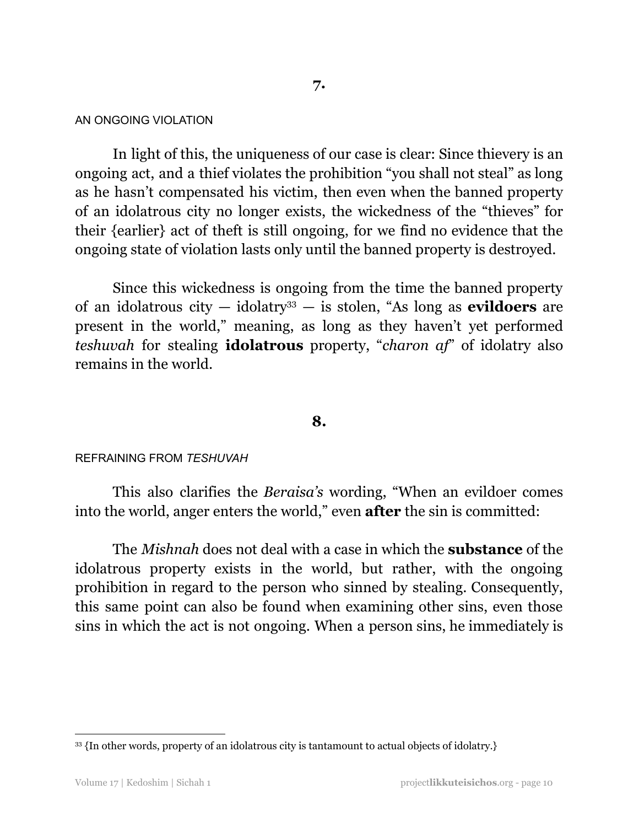## AN ONGOING VIOLATION

In light of this, the uniqueness of our case is clear: Since thievery is an ongoing act, and a thief violates the prohibition "you shall not steal" as long as he hasn't compensated his victim, then even when the banned property of an idolatrous city no longer exists, the wickedness of the "thieves" for their {earlier} act of theft is still ongoing, for we find no evidence that the ongoing state of violation lasts only until the banned property is destroyed.

Since this wickedness is ongoing from the time the banned property of an idolatrous city — idolatry <sup>33</sup> — is stolen, "As long as **evildoers** are present in the world," meaning, as long as they haven't yet performed *teshuvah* for stealing **idolatrous** property, "*charon af*" of idolatry also remains in the world.

## **8.**

## REFRAINING FROM *TESHUVAH*

This also clarifies the *Beraisa's* wording, "When an evildoer comes into the world, anger enters the world," even **after** the sin is committed:

The *Mishnah* does not deal with a case in which the **substance** of the idolatrous property exists in the world, but rather, with the ongoing prohibition in regard to the person who sinned by stealing. Consequently, this same point can also be found when examining other sins, even those sins in which the act is not ongoing. When a person sins, he immediately is

<sup>&</sup>lt;sup>33</sup> {In other words, property of an idolatrous city is tantamount to actual objects of idolatry.}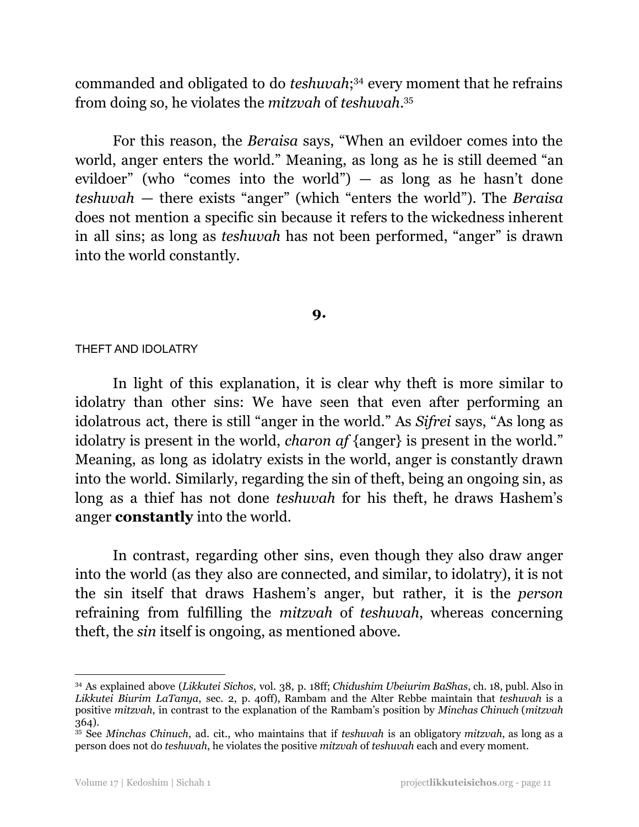commanded and obligated to do *teshuvah*; <sup>34</sup> every moment that he refrains from doing so, he violates the *mitzvah* of *teshuvah*. 35

For this reason, the *Beraisa* says, "When an evildoer comes into the world, anger enters the world." Meaning, as long as he is still deemed "an evildoer" (who "comes into the world") — as long as he hasn't done *teshuvah* — there exists "anger" (which "enters the world"). The *Beraisa* does not mention a specific sin because it refers to the wickedness inherent in all sins; as long as *teshuvah* has not been performed, "anger" is drawn into the world constantly.

# **9.**

## THEFT AND IDOLATRY

In light of this explanation, it is clear why theft is more similar to idolatry than other sins: We have seen that even after performing an idolatrous act, there is still "anger in the world." As *Sifrei* says, "As long as idolatry is present in the world, *charon af* {anger} is present in the world." Meaning, as long as idolatry exists in the world, anger is constantly drawn into the world. Similarly, regarding the sin of theft, being an ongoing sin, as long as a thief has not done *teshuvah* for his theft, he draws Hashem's anger **constantly** into the world.

In contrast, regarding other sins, even though they also draw anger into the world (as they also are connected, and similar, to idolatry), it is not the sin itself that draws Hashem's anger, but rather, it is the *person* refraining from fulfilling the *mitzvah* of *teshuvah*, whereas concerning theft, the *sin* itself is ongoing, as mentioned above.

<sup>34</sup> As explained above (*Likkutei Sichos*, vol. 38, p. 18ff; *Chidushim Ubeiurim BaShas*, ch. 18, publ. Also in *Likkutei Biurim LaTanya*, sec. 2, p. 40ff), Rambam and the Alter Rebbe maintain that *teshuvah* is a positive *mitzvah*, in contrast to the explanation of the Rambam's position by *Minchas Chinuch* (*mitzvah* 364).

<sup>35</sup> See *Minchas Chinuch*, ad. cit., who maintains that if *teshuvah* is an obligatory *mitzvah*, as long as a person does not do *teshuvah*, he violates the positive *mitzvah* of *teshuvah* each and every moment.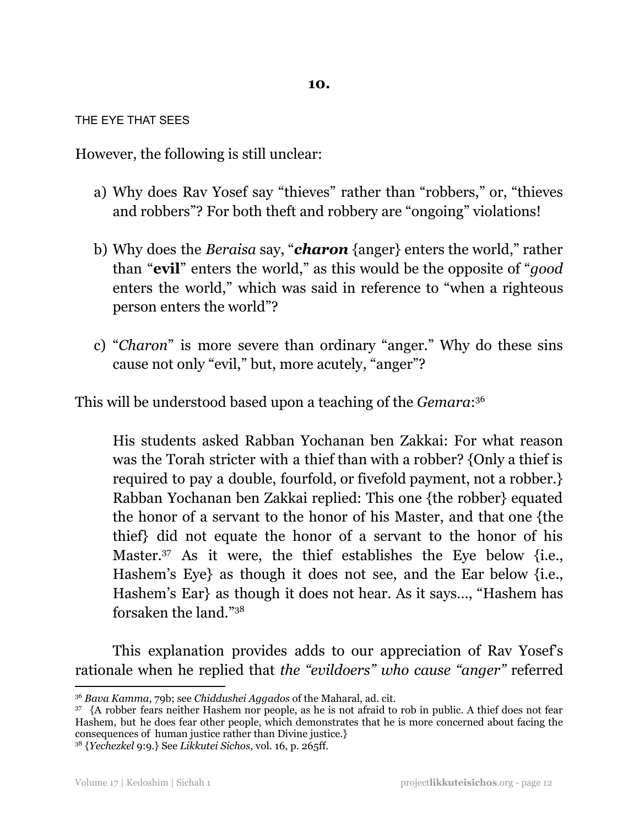THE EYE THAT SEES

However, the following is still unclear:

- a) Why does Rav Yosef say "thieves" rather than "robbers," or, "thieves and robbers"? For both theft and robbery are "ongoing" violations!
- b) Why does the *Beraisa* say, "*charon* {anger} enters the world," rather than "**evil**" enters the world," as this would be the opposite of "*good* enters the world," which was said in reference to "when a righteous person enters the world"?
- c) "*Charon*" is more severe than ordinary "anger." Why do these sins cause not only "evil," but, more acutely, "anger"?

This will be understood based upon a teaching of the *Gemara*: 36

His students asked Rabban Yochanan ben Zakkai: For what reason was the Torah stricter with a thief than with a robber? {Only a thief is required to pay a double, fourfold, or fivefold payment, not a robber.} Rabban Yochanan ben Zakkai replied: This one {the robber} equated the honor of a servant to the honor of his Master, and that one {the thief} did not equate the honor of a servant to the honor of his Master. <sup>37</sup> As it were, the thief establishes the Eye below {i.e., Hashem's Eye} as though it does not see, and the Ear below {i.e., Hashem's Ear} as though it does not hear. As it says…, "Hashem has forsaken the land." 38

This explanation provides adds to our appreciation of Rav Yosef's rationale when he replied that *the "evildoers" who cause "anger"* referred

<sup>36</sup> *Bava Kamma*, 79b; see *Chiddushei Aggados* of the Maharal, ad. cit.

<sup>&</sup>lt;sup>37</sup> {A robber fears neither Hashem nor people, as he is not afraid to rob in public. A thief does not fear Hashem, but he does fear other people, which demonstrates that he is more concerned about facing the consequences of human justice rather than Divine justice.}

<sup>38</sup> {*Yechezkel* 9:9.} See *Likkutei Sichos*, vol. 16, p. 265ff.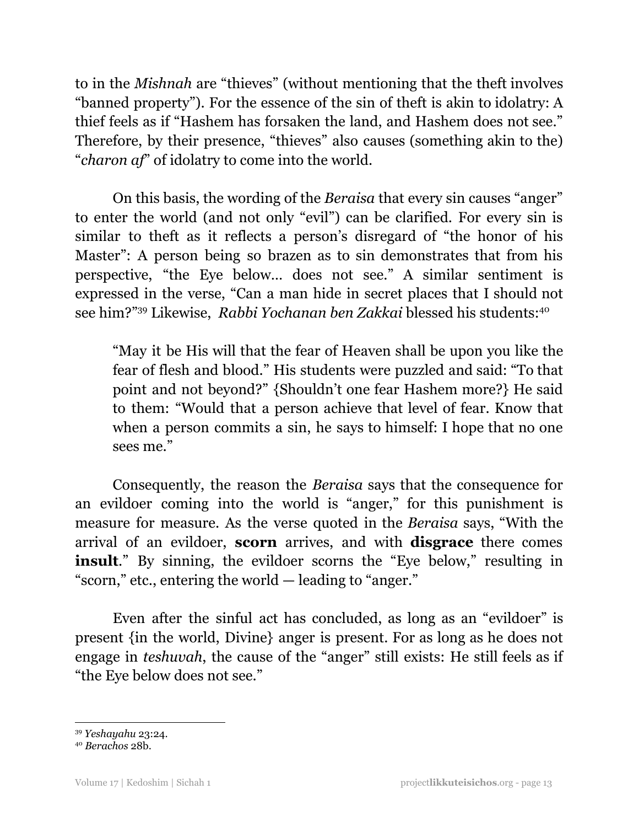to in the *Mishnah* are "thieves" (without mentioning that the theft involves "banned property"). For the essence of the sin of theft is akin to idolatry: A thief feels as if "Hashem has forsaken the land, and Hashem does not see." Therefore, by their presence, "thieves" also causes (something akin to the) "*charon af*" of idolatry to come into the world.

On this basis, the wording of the *Beraisa* that every sin causes "anger" to enter the world (and not only "evil") can be clarified. For every sin is similar to theft as it reflects a person's disregard of "the honor of his Master": A person being so brazen as to sin demonstrates that from his perspective, "the Eye below… does not see." A similar sentiment is expressed in the verse, "Can a man hide in secret places that I should not see him?" <sup>39</sup> Likewise, *Rabbi Yochanan ben Zakkai* blessed his students: 40

"May it be His will that the fear of Heaven shall be upon you like the fear of flesh and blood." His students were puzzled and said: "To that point and not beyond?" {Shouldn't one fear Hashem more?} He said to them: "Would that a person achieve that level of fear. Know that when a person commits a sin, he says to himself: I hope that no one sees me."

Consequently, the reason the *Beraisa* says that the consequence for an evildoer coming into the world is "anger," for this punishment is measure for measure. As the verse quoted in the *Beraisa* says, "With the arrival of an evildoer, **scorn** arrives, and with **disgrace** there comes **insult**." By sinning, the evildoer scorns the "Eye below," resulting in "scorn," etc., entering the world — leading to "anger."

Even after the sinful act has concluded, as long as an "evildoer" is present {in the world, Divine} anger is present. For as long as he does not engage in *teshuvah*, the cause of the "anger" still exists: He still feels as if "the Eye below does not see."

<sup>39</sup> *Yeshayahu* 23:24.

<sup>40</sup> *Berachos* 28b.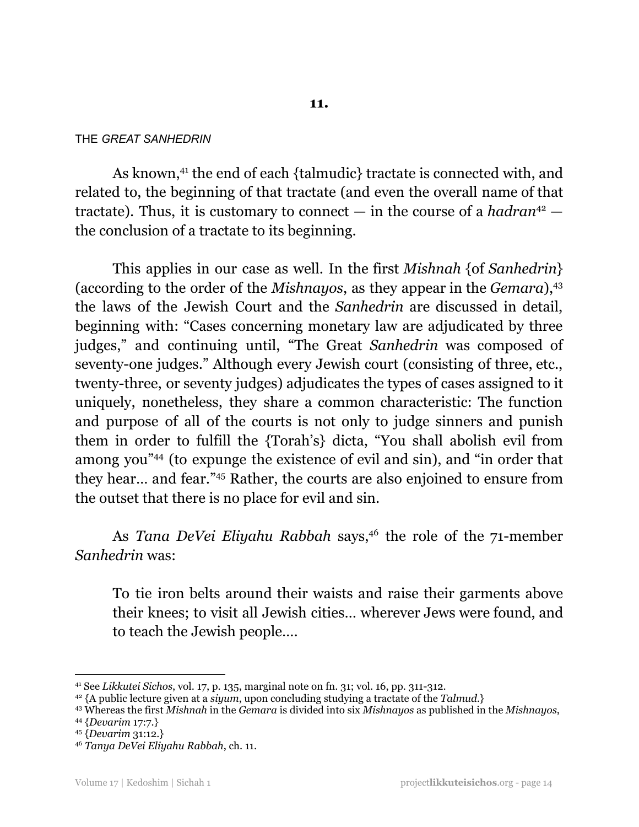## THE *GREAT SANHEDRIN*

As known, 41 the end of each {talmudic} tractate is connected with, and related to, the beginning of that tractate (and even the overall name of that tractate). Thus, it is customary to connect  $-$  in the course of a *hadran*<sup>42</sup>  $$ the conclusion of a tractate to its beginning.

This applies in our case as well. In the first *Mishnah* {of *Sanhedrin*} (according to the order of the *Mishnayos*, as they appear in the *Gemara*), 43 the laws of the Jewish Court and the *Sanhedrin* are discussed in detail, beginning with: "Cases concerning monetary law are adjudicated by three judges," and continuing until, "The Great *Sanhedrin* was composed of seventy-one judges." Although every Jewish court (consisting of three, etc., twenty-three, or seventy judges) adjudicates the types of cases assigned to it uniquely, nonetheless, they share a common characteristic: The function and purpose of all of the courts is not only to judge sinners and punish them in order to fulfill the {Torah's} dicta, "You shall abolish evil from among you" <sup>44</sup> (to expunge the existence of evil and sin), and "in order that they hear… and fear." <sup>45</sup> Rather, the courts are also enjoined to ensure from the outset that there is no place for evil and sin.

As *Tana DeVei Eliyahu Rabbah* says, 46 the role of the 71-member *Sanhedrin* was:

To tie iron belts around their waists and raise their garments above their knees; to visit all Jewish cities… wherever Jews were found, and to teach the Jewish people….

<sup>41</sup> See *Likkutei Sichos*, vol. 17, p. 135, marginal note on fn. 31; vol. 16, pp. 311-312.

<sup>42</sup> {A public lecture given at a *siyum*, upon concluding studying a tractate of the *Talmud*.}

<sup>43</sup> Whereas the first *Mishnah* in the *Gemara* is divided into six *Mishnayos* as published in the *Mishnayos*,

<sup>44</sup> {*Devarim* 17:7.}

<sup>45</sup> {*Devarim* 31:12.}

<sup>46</sup> *Tanya DeVei Eliyahu Rabbah*, ch. 11.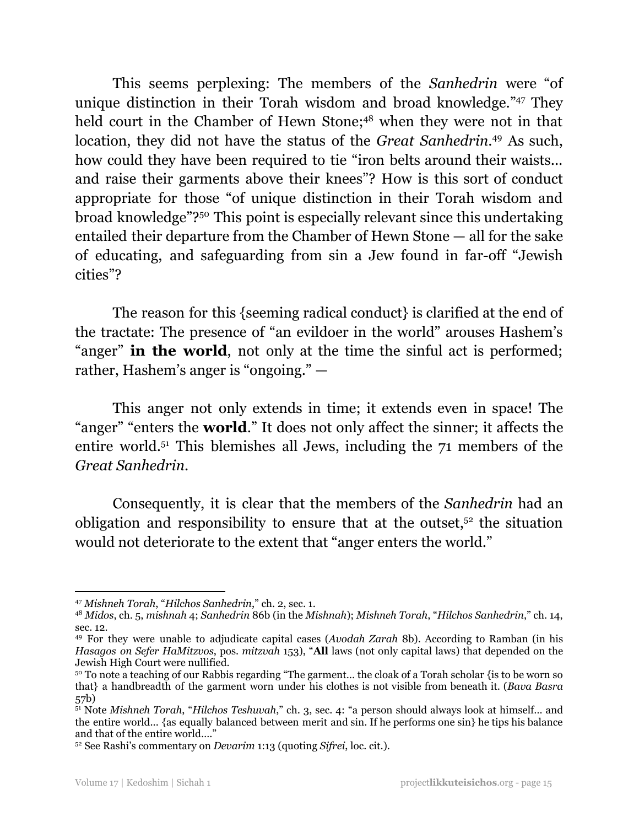This seems perplexing: The members of the *Sanhedrin* were "of unique distinction in their Torah wisdom and broad knowledge." <sup>47</sup> They held court in the Chamber of Hewn Stone;<sup>48</sup> when they were not in that location, they did not have the status of the *Great Sanhedrin*. <sup>49</sup> As such, how could they have been required to tie "iron belts around their waists... and raise their garments above their knees"? How is this sort of conduct appropriate for those "of unique distinction in their Torah wisdom and broad knowledge"? <sup>50</sup> This point is especially relevant since this undertaking entailed their departure from the Chamber of Hewn Stone — all for the sake of educating, and safeguarding from sin a Jew found in far-off "Jewish cities"?

The reason for this {seeming radical conduct} is clarified at the end of the tractate: The presence of "an evildoer in the world" arouses Hashem's "anger" **in the world**, not only at the time the sinful act is performed; rather, Hashem's anger is "ongoing." —

This anger not only extends in time; it extends even in space! The "anger" "enters the **world**." It does not only affect the sinner; it affects the entire world. <sup>51</sup> This blemishes all Jews, including the 71 members of the *Great Sanhedrin*.

Consequently, it is clear that the members of the *Sanhedrin* had an obligation and responsibility to ensure that at the outset, $52$  the situation would not deteriorate to the extent that "anger enters the world."

<sup>47</sup> *Mishneh Torah*, "*Hilchos Sanhedrin*," ch. 2, sec. 1.

<sup>48</sup> *Midos*, ch. 5, *mishnah* 4; *Sanhedrin* 86b (in the *Mishnah*); *Mishneh Torah*, "*Hilchos Sanhedrin*," ch. 14, sec. 12.

<sup>49</sup> For they were unable to adjudicate capital cases (*Avodah Zarah* 8b). According to Ramban (in his *Hasagos on Sefer HaMitzvos*, pos. *mitzvah* 153), "**All** laws (not only capital laws) that depended on the Jewish High Court were nullified.

<sup>&</sup>lt;sup>50</sup> To note a teaching of our Rabbis regarding "The garment... the cloak of a Torah scholar {is to be worn so that} a handbreadth of the garment worn under his clothes is not visible from beneath it. (*Bava Basra* 57b)

<sup>51</sup> Note *Mishneh Torah*, "*Hilchos Teshuvah*," ch. 3, sec. 4: "a person should always look at himself… and the entire world... {as equally balanced between merit and sin. If he performs one sin} he tips his balance and that of the entire world…."

<sup>52</sup> See Rashi's commentary on *Devarim* 1:13 (quoting *Sifrei*, loc. cit.).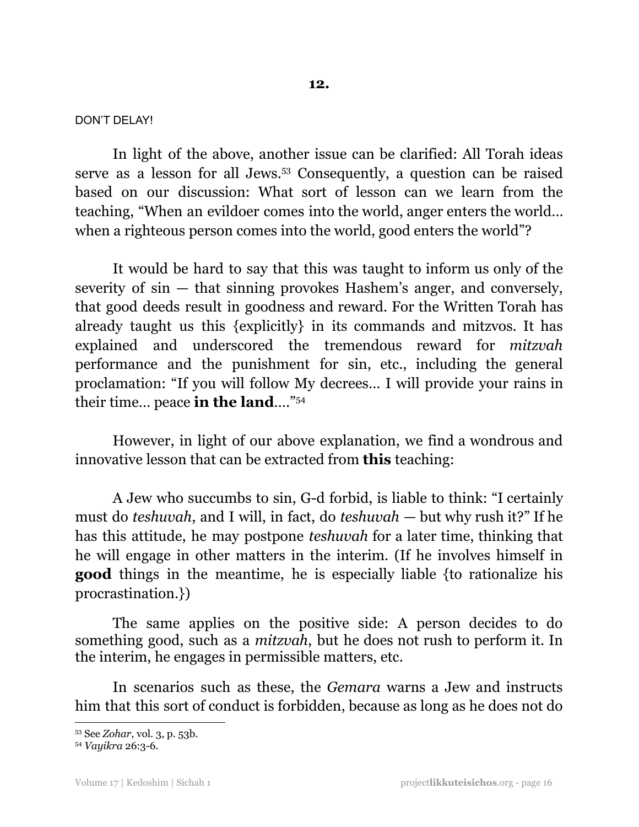## DON'T DELAY!

In light of the above, another issue can be clarified: All Torah ideas serve as a lesson for all Jews. <sup>53</sup> Consequently, a question can be raised based on our discussion: What sort of lesson can we learn from the teaching, "When an evildoer comes into the world, anger enters the world… when a righteous person comes into the world, good enters the world"?

It would be hard to say that this was taught to inform us only of the severity of sin — that sinning provokes Hashem's anger, and conversely, that good deeds result in goodness and reward. For the Written Torah has already taught us this {explicitly} in its commands and mitzvos. It has explained and underscored the tremendous reward for *mitzvah* performance and the punishment for sin, etc., including the general proclamation: "If you will follow My decrees… I will provide your rains in their time… peace **in the land**…." 54

However, in light of our above explanation, we find a wondrous and innovative lesson that can be extracted from **this** teaching:

A Jew who succumbs to sin, G-d forbid, is liable to think: "I certainly must do *teshuvah*, and I will, in fact, do *teshuvah* — but why rush it?" If he has this attitude, he may postpone *teshuvah* for a later time, thinking that he will engage in other matters in the interim. (If he involves himself in **good** things in the meantime, he is especially liable {to rationalize his procrastination.})

The same applies on the positive side: A person decides to do something good, such as a *mitzvah*, but he does not rush to perform it. In the interim, he engages in permissible matters, etc.

In scenarios such as these, the *Gemara* warns a Jew and instructs him that this sort of conduct is forbidden, because as long as he does not do

<sup>53</sup> See *Zohar*, vol. 3, p. 53b.

<sup>54</sup> *Vayikra* 26:3-6.